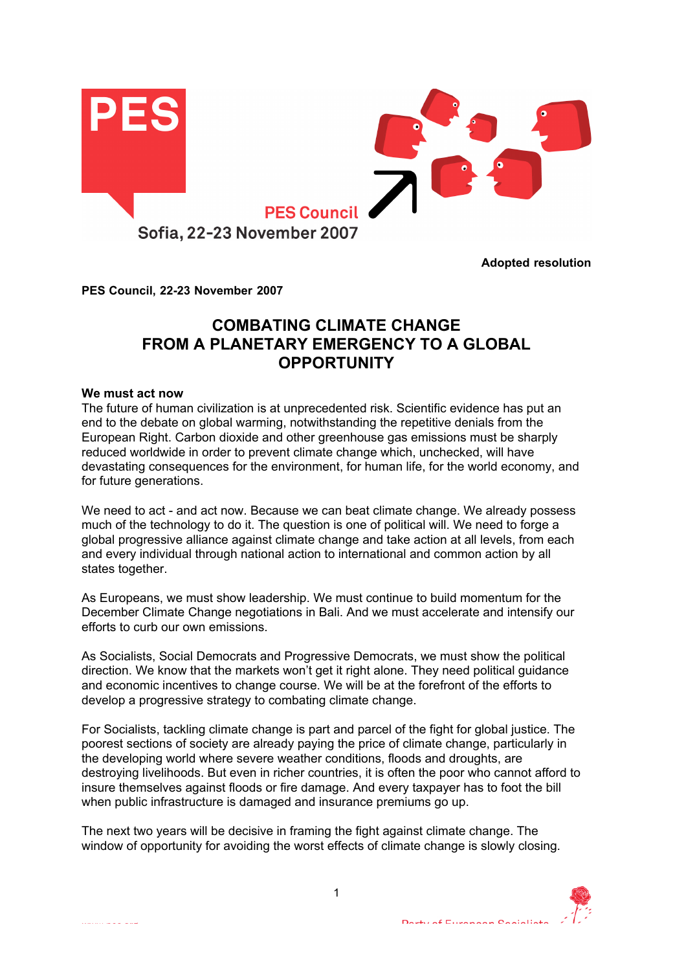

**Adopted resolution**

**PES Council, 22-23 November 2007**

# **COMBATING CLIMATE CHANGE FROM A PLANETARY EMERGENCY TO A GLOBAL OPPORTUNITY**

### **We must act now**

The future of human civilization is at unprecedented risk. Scientific evidence has put an end to the debate on global warming, notwithstanding the repetitive denials from the European Right. Carbon dioxide and other greenhouse gas emissions must be sharply reduced worldwide in order to prevent climate change which, unchecked, will have devastating consequences for the environment, for human life, for the world economy, and for future generations.

We need to act - and act now. Because we can beat climate change. We already possess much of the technology to do it. The question is one of political will. We need to forge a global progressive alliance against climate change and take action at all levels, from each and every individual through national action to international and common action by all states together.

As Europeans, we must show leadership. We must continue to build momentum for the December Climate Change negotiations in Bali. And we must accelerate and intensify our efforts to curb our own emissions.

As Socialists, Social Democrats and Progressive Democrats, we must show the political direction. We know that the markets won't get it right alone. They need political guidance and economic incentives to change course. We will be at the forefront of the efforts to develop a progressive strategy to combating climate change.

For Socialists, tackling climate change is part and parcel of the fight for global justice. The poorest sections of society are already paying the price of climate change, particularly in the developing world where severe weather conditions, floods and droughts, are destroying livelihoods. But even in richer countries, it is often the poor who cannot afford to insure themselves against floods or fire damage. And every taxpayer has to foot the bill when public infrastructure is damaged and insurance premiums go up.

The next two years will be decisive in framing the fight against climate change. The window of opportunity for avoiding the worst effects of climate change is slowly closing.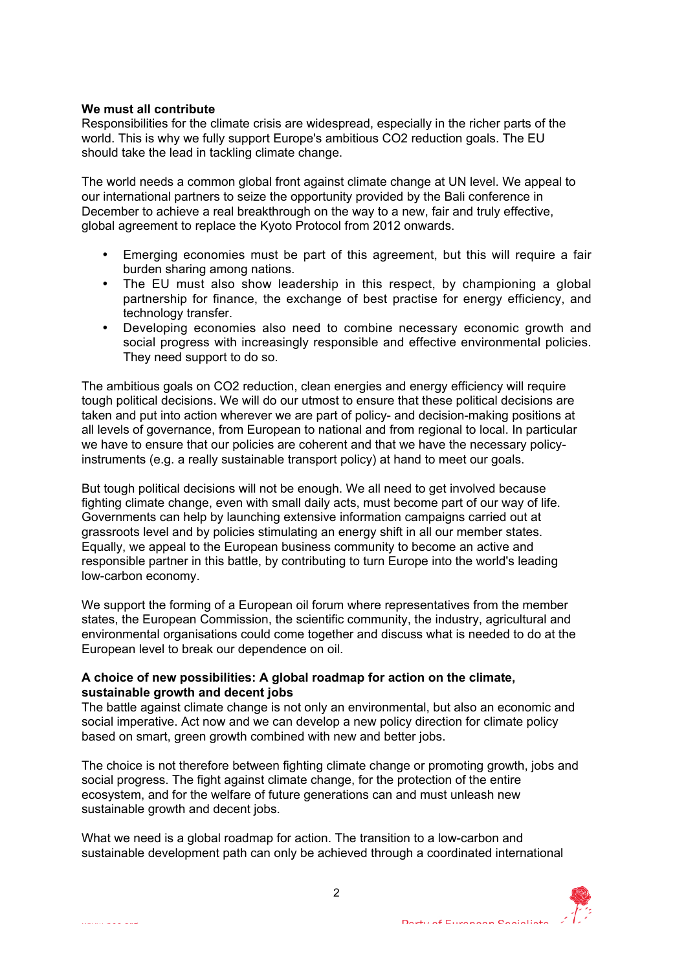## **We must all contribute**

Responsibilities for the climate crisis are widespread, especially in the richer parts of the world. This is why we fully support Europe's ambitious CO2 reduction goals. The EU should take the lead in tackling climate change.

The world needs a common global front against climate change at UN level. We appeal to our international partners to seize the opportunity provided by the Bali conference in December to achieve a real breakthrough on the way to a new, fair and truly effective, global agreement to replace the Kyoto Protocol from 2012 onwards.

- Emerging economies must be part of this agreement, but this will require a fair burden sharing among nations.
- The EU must also show leadership in this respect, by championing a global partnership for finance, the exchange of best practise for energy efficiency, and technology transfer.
- Developing economies also need to combine necessary economic growth and social progress with increasingly responsible and effective environmental policies. They need support to do so.

The ambitious goals on CO2 reduction, clean energies and energy efficiency will require tough political decisions. We will do our utmost to ensure that these political decisions are taken and put into action wherever we are part of policy- and decision-making positions at all levels of governance, from European to national and from regional to local. In particular we have to ensure that our policies are coherent and that we have the necessary policyinstruments (e.g. a really sustainable transport policy) at hand to meet our goals.

But tough political decisions will not be enough. We all need to get involved because fighting climate change, even with small daily acts, must become part of our way of life. Governments can help by launching extensive information campaigns carried out at grassroots level and by policies stimulating an energy shift in all our member states. Equally, we appeal to the European business community to become an active and responsible partner in this battle, by contributing to turn Europe into the world's leading low-carbon economy.

We support the forming of a European oil forum where representatives from the member states, the European Commission, the scientific community, the industry, agricultural and environmental organisations could come together and discuss what is needed to do at the European level to break our dependence on oil.

# **A choice of new possibilities: A global roadmap for action on the climate, sustainable growth and decent jobs**

The battle against climate change is not only an environmental, but also an economic and social imperative. Act now and we can develop a new policy direction for climate policy based on smart, green growth combined with new and better jobs.

The choice is not therefore between fighting climate change or promoting growth, jobs and social progress. The fight against climate change, for the protection of the entire ecosystem, and for the welfare of future generations can and must unleash new sustainable growth and decent jobs.

What we need is a global roadmap for action. The transition to a low-carbon and sustainable development path can only be achieved through a coordinated international